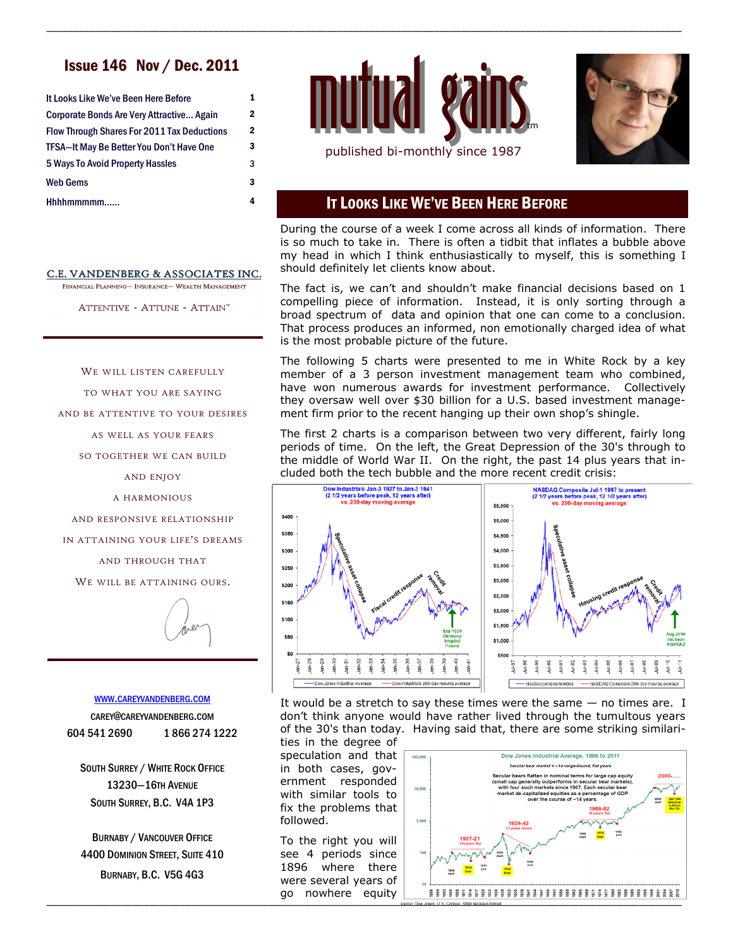# Issue 146 Nov / Dec. 2011

| It Looks Like We've Been Here Before                                                           | 1      |
|------------------------------------------------------------------------------------------------|--------|
| Corporate Bonds Are Very Attractive Again                                                      | 2      |
| <b>Flow Through Shares For 2011 Tax Deductions</b><br>TFSA-It May Be Better You Don't Have One | 2<br>3 |
|                                                                                                |        |
| Web Gems                                                                                       | 3      |
| Hhhhmmmmm                                                                                      | 4      |

#### C.E. VANDENBERG & ASSOCIATES INC.

FINANCIAL PLANNING- INSURANCE- WEALTH MANAGEMENT

ATTENTIVE - ATTUNE - ATTAIN™

WE WILL LISTEN CAREFULLY

TO WHAT YOU ARE SAYING

AND BE ATTENTIVE TO YOUR DESIRES

AS WELL AS YOUR FEARS

SO TOGETHER WE CAN BUILD

AND ENJOY

A HARMONIOUS

AND RESPONSIVE RELATIONSHIP

IN ATTAINING YOUR LIFE'S DREAMS

AND THROUGH THAT

WE WILL BE ATTAINING OURS.

#### WWW.[CAREYVANDENBERG](http://careyvandenberg.com).COM

CAREY@CAREYVANDENBERG.COM 604 541 2690 1 866 274 1222

SOUTH SURREY / WHITE ROCK OFFICE 13230—16TH AVENUE SOUTH SURREY, B.C. V4A 1P3

BURNABY / VANCOUVER OFFICE 4400 DOMINION STREET, SUITE 410 BURNABY, B.C. V5G 4G3



\_\_\_\_\_\_\_\_\_\_\_\_\_\_\_\_\_\_\_\_\_\_\_\_\_\_\_\_\_\_\_\_\_\_\_\_\_\_\_\_\_\_\_\_\_\_\_\_\_\_\_\_\_\_\_\_\_\_\_\_\_\_\_\_\_\_\_\_\_\_\_\_\_\_\_\_\_\_\_\_\_\_\_\_\_\_\_\_\_\_\_\_\_\_\_\_\_\_\_\_\_\_\_\_\_\_\_\_\_\_\_\_\_\_\_\_\_\_



## IT LOOKS LIKE WE'VE BEEN HERE BEFORE

During the course of a week I come across all kinds of information. There is so much to take in. There is often a tidbit that inflates a bubble above my head in which I think enthusiastically to myself, this is something I should definitely let clients know about.

The fact is, we can't and shouldn't make financial decisions based on 1 compelling piece of information. Instead, it is only sorting through a broad spectrum of data and opinion that one can come to a conclusion. That process produces an informed, non emotionally charged idea of what is the most probable picture of the future.

The following 5 charts were presented to me in White Rock by a key member of a 3 person investment management team who combined, have won numerous awards for investment performance. Collectively they oversaw well over \$30 billion for a U.S. based investment management firm prior to the recent hanging up their own shop's shingle.

The first 2 charts is a comparison between two very different, fairly long periods of time. On the left, the Great Depression of the 30's through to the middle of World War II. On the right, the past 14 plus years that included both the tech bubble and the more recent credit crisis:



It would be a stretch to say these times were the same  $-$  no times are. I don't think anyone would have rather lived through the tumultous years of the 30's than today. Having said that, there are some striking similari-

ties in the degree of speculation and that in both cases, government responded with similar tools to fix the problems that followed.

To the right you will see 4 periods since 1896 where there were several years of go nowhere equity

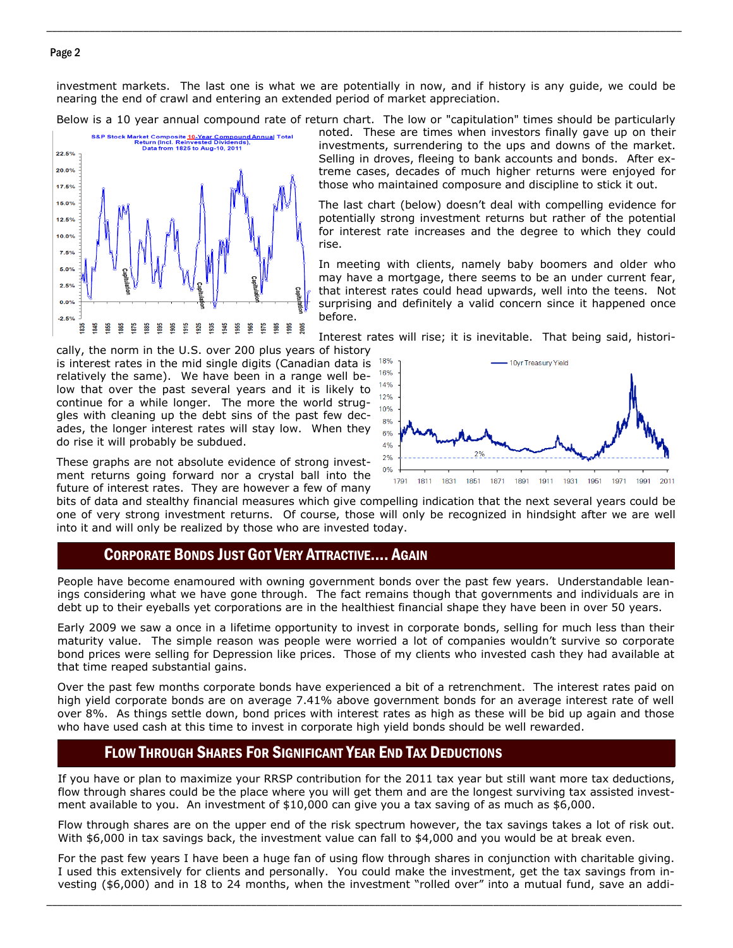#### Page 2

investment markets. The last one is what we are potentially in now, and if history is any guide, we could be nearing the end of crawl and entering an extended period of market appreciation.

\_\_\_\_\_\_\_\_\_\_\_\_\_\_\_\_\_\_\_\_\_\_\_\_\_\_\_\_\_\_\_\_\_\_\_\_\_\_\_\_\_\_\_\_\_\_\_\_\_\_\_\_\_\_\_\_\_\_\_\_\_\_\_\_\_\_\_\_\_\_\_\_\_\_\_\_\_\_\_\_\_\_\_\_\_\_\_\_\_\_\_\_\_\_\_\_\_\_\_\_\_\_\_\_\_\_\_\_\_\_\_\_\_\_\_\_\_\_

Below is a 10 year annual compound rate of return chart. The low or "capitulation" times should be particularly



noted. These are times when investors finally gave up on their investments, surrendering to the ups and downs of the market. Selling in droves, fleeing to bank accounts and bonds. After extreme cases, decades of much higher returns were enjoyed for those who maintained composure and discipline to stick it out.

The last chart (below) doesn't deal with compelling evidence for potentially strong investment returns but rather of the potential for interest rate increases and the degree to which they could rise.

In meeting with clients, namely baby boomers and older who may have a mortgage, there seems to be an under current fear, that interest rates could head upwards, well into the teens. Not surprising and definitely a valid concern since it happened once before.

Interest rates will rise; it is inevitable. That being said, histori-

cally, the norm in the U.S. over 200 plus years of history is interest rates in the mid single digits (Canadian data is relatively the same). We have been in a range well below that over the past several years and it is likely to continue for a while longer. The more the world struggles with cleaning up the debt sins of the past few decades, the longer interest rates will stay low. When they do rise it will probably be subdued.

These graphs are not absolute evidence of strong investment returns going forward nor a crystal ball into the future of interest rates. They are however a few of many



bits of data and stealthy financial measures which give compelling indication that the next several years could be one of very strong investment returns. Of course, those will only be recognized in hindsight after we are well into it and will only be realized by those who are invested today.

## CORPORATE BONDS JUST GOT VERY ATTRACTIVE…. AGAIN

People have become enamoured with owning government bonds over the past few years. Understandable leanings considering what we have gone through. The fact remains though that governments and individuals are in debt up to their eyeballs yet corporations are in the healthiest financial shape they have been in over 50 years.

Early 2009 we saw a once in a lifetime opportunity to invest in corporate bonds, selling for much less than their maturity value. The simple reason was people were worried a lot of companies wouldn't survive so corporate bond prices were selling for Depression like prices. Those of my clients who invested cash they had available at that time reaped substantial gains.

Over the past few months corporate bonds have experienced a bit of a retrenchment. The interest rates paid on high yield corporate bonds are on average 7.41% above government bonds for an average interest rate of well over 8%. As things settle down, bond prices with interest rates as high as these will be bid up again and those who have used cash at this time to invest in corporate high yield bonds should be well rewarded.

# FLOW THROUGH SHARES FOR SIGNIFICANT YEAR END TAX DEDUCTIONS

If you have or plan to maximize your RRSP contribution for the 2011 tax year but still want more tax deductions, flow through shares could be the place where you will get them and are the longest surviving tax assisted investment available to you. An investment of \$10,000 can give you a tax saving of as much as \$6,000.

Flow through shares are on the upper end of the risk spectrum however, the tax savings takes a lot of risk out. With \$6,000 in tax savings back, the investment value can fall to \$4,000 and you would be at break even.

For the past few years I have been a huge fan of using flow through shares in conjunction with charitable giving. I used this extensively for clients and personally. You could make the investment, get the tax savings from investing (\$6,000) and in 18 to 24 months, when the investment "rolled over" into a mutual fund, save an addi-

\_\_\_\_\_\_\_\_\_\_\_\_\_\_\_\_\_\_\_\_\_\_\_\_\_\_\_\_\_\_\_\_\_\_\_\_\_\_\_\_\_\_\_\_\_\_\_\_\_\_\_\_\_\_\_\_\_\_\_\_\_\_\_\_\_\_\_\_\_\_\_\_\_\_\_\_\_\_\_\_\_\_\_\_\_\_\_\_\_\_\_\_\_\_\_\_\_\_\_\_\_\_\_\_\_\_\_\_\_\_\_\_\_\_\_\_\_\_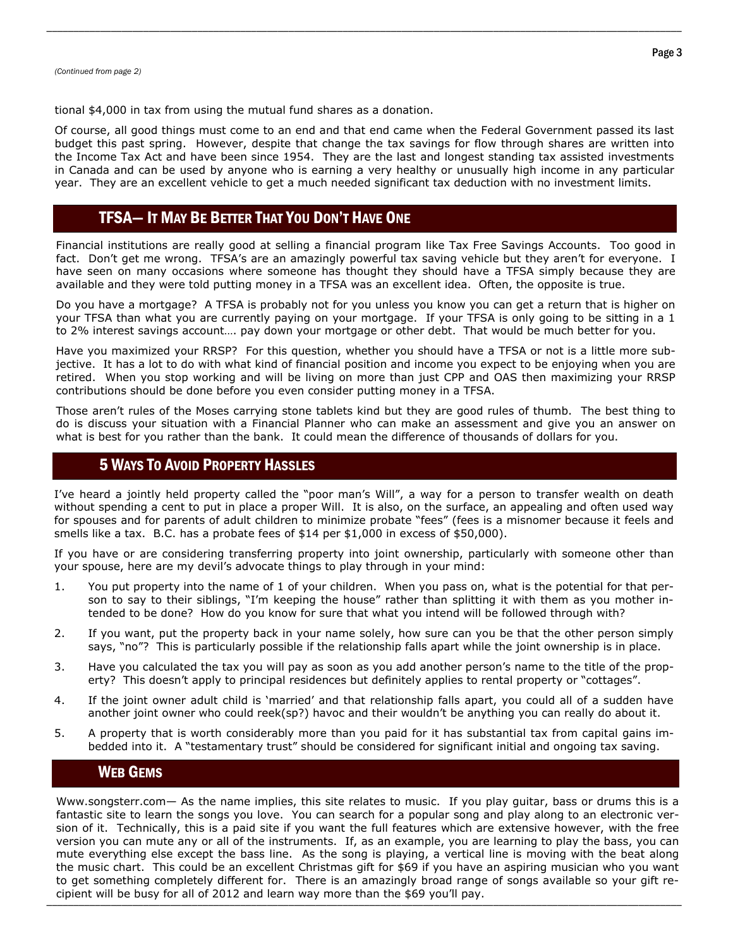tional \$4,000 in tax from using the mutual fund shares as a donation.

Of course, all good things must come to an end and that end came when the Federal Government passed its last budget this past spring. However, despite that change the tax savings for flow through shares are written into the Income Tax Act and have been since 1954. They are the last and longest standing tax assisted investments in Canada and can be used by anyone who is earning a very healthy or unusually high income in any particular year. They are an excellent vehicle to get a much needed significant tax deduction with no investment limits.

\_\_\_\_\_\_\_\_\_\_\_\_\_\_\_\_\_\_\_\_\_\_\_\_\_\_\_\_\_\_\_\_\_\_\_\_\_\_\_\_\_\_\_\_\_\_\_\_\_\_\_\_\_\_\_\_\_\_\_\_\_\_\_\_\_\_\_\_\_\_\_\_\_\_\_\_\_\_\_\_\_\_\_\_\_\_\_\_\_\_\_\_\_\_\_\_\_\_\_\_\_\_\_\_\_\_\_\_\_\_\_\_\_\_\_\_\_\_

# TFSA— IT MAY BE BETTER THAT YOU DON'T HAVE ONE

Financial institutions are really good at selling a financial program like Tax Free Savings Accounts. Too good in fact. Don't get me wrong. TFSA's are an amazingly powerful tax saving vehicle but they aren't for everyone. I have seen on many occasions where someone has thought they should have a TFSA simply because they are available and they were told putting money in a TFSA was an excellent idea. Often, the opposite is true.

Do you have a mortgage? A TFSA is probably not for you unless you know you can get a return that is higher on your TFSA than what you are currently paying on your mortgage. If your TFSA is only going to be sitting in a 1 to 2% interest savings account…. pay down your mortgage or other debt. That would be much better for you.

Have you maximized your RRSP? For this question, whether you should have a TFSA or not is a little more subjective. It has a lot to do with what kind of financial position and income you expect to be enjoying when you are retired. When you stop working and will be living on more than just CPP and OAS then maximizing your RRSP contributions should be done before you even consider putting money in a TFSA.

Those aren't rules of the Moses carrying stone tablets kind but they are good rules of thumb. The best thing to do is discuss your situation with a Financial Planner who can make an assessment and give you an answer on what is best for you rather than the bank. It could mean the difference of thousands of dollars for you.

# 5 WAYS TO AVOID PROPERTY HASSLES

I've heard a jointly held property called the "poor man's Will", a way for a person to transfer wealth on death without spending a cent to put in place a proper Will. It is also, on the surface, an appealing and often used way for spouses and for parents of adult children to minimize probate "fees" (fees is a misnomer because it feels and smells like a tax. B.C. has a probate fees of \$14 per \$1,000 in excess of \$50,000).

If you have or are considering transferring property into joint ownership, particularly with someone other than your spouse, here are my devil's advocate things to play through in your mind:

- 1. You put property into the name of 1 of your children. When you pass on, what is the potential for that person to say to their siblings, "I'm keeping the house" rather than splitting it with them as you mother intended to be done? How do you know for sure that what you intend will be followed through with?
- 2. If you want, put the property back in your name solely, how sure can you be that the other person simply says, "no"? This is particularly possible if the relationship falls apart while the joint ownership is in place.
- 3. Have you calculated the tax you will pay as soon as you add another person's name to the title of the property? This doesn't apply to principal residences but definitely applies to rental property or "cottages".
- 4. If the joint owner adult child is 'married' and that relationship falls apart, you could all of a sudden have another joint owner who could reek(sp?) havoc and their wouldn't be anything you can really do about it.
- 5. A property that is worth considerably more than you paid for it has substantial tax from capital gains imbedded into it. A "testamentary trust" should be considered for significant initial and ongoing tax saving.

## WEB GEMS

\_\_\_\_\_\_\_\_\_\_\_\_\_\_\_\_\_\_\_\_\_\_\_\_\_\_\_\_\_\_\_\_\_\_\_\_\_\_\_\_\_\_\_\_\_\_\_\_\_\_\_\_\_\_\_\_\_\_\_\_\_\_\_\_\_\_\_\_\_\_\_\_\_\_\_\_\_\_\_\_\_\_\_\_\_\_\_\_\_\_\_\_\_\_\_\_\_\_\_\_\_\_\_\_\_\_\_\_\_\_\_\_\_\_\_\_\_\_ cipient will be busy for all of 2012 and learn way more than the \$69 you'll pay. Www.songsterr.com— As the name implies, this site relates to music. If you play guitar, bass or drums this is a fantastic site to learn the songs you love. You can search for a popular song and play along to an electronic version of it. Technically, this is a paid site if you want the full features which are extensive however, with the free version you can mute any or all of the instruments. If, as an example, you are learning to play the bass, you can mute everything else except the bass line. As the song is playing, a vertical line is moving with the beat along the music chart. This could be an excellent Christmas gift for \$69 if you have an aspiring musician who you want to get something completely different for. There is an amazingly broad range of songs available so your gift re-